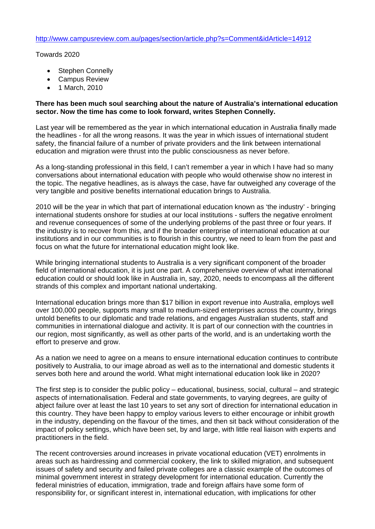Towards 2020

- Stephen Connelly
- Campus Review
- 1 March, 2010

## **There has been much soul searching about the nature of Australia's international education sector. Now the time has come to look forward, writes Stephen Connelly.**

Last year will be remembered as the year in which international education in Australia finally made the headlines - for all the wrong reasons. It was the year in which issues of international student safety, the financial failure of a number of private providers and the link between international education and migration were thrust into the public consciousness as never before.

As a long-standing professional in this field, I can't remember a year in which I have had so many conversations about international education with people who would otherwise show no interest in the topic. The negative headlines, as is always the case, have far outweighed any coverage of the very tangible and positive benefits international education brings to Australia.

2010 will be the year in which that part of international education known as 'the industry' - bringing international students onshore for studies at our local institutions - suffers the negative enrolment and revenue consequences of some of the underlying problems of the past three or four years. If the industry is to recover from this, and if the broader enterprise of international education at our institutions and in our communities is to flourish in this country, we need to learn from the past and focus on what the future for international education might look like.

While bringing international students to Australia is a very significant component of the broader field of international education, it is just one part. A comprehensive overview of what international education could or should look like in Australia in, say, 2020, needs to encompass all the different strands of this complex and important national undertaking.

International education brings more than \$17 billion in export revenue into Australia, employs well over 100,000 people, supports many small to medium-sized enterprises across the country, brings untold benefits to our diplomatic and trade relations, and engages Australian students, staff and communities in international dialogue and activity. It is part of our connection with the countries in our region, most significantly, as well as other parts of the world, and is an undertaking worth the effort to preserve and grow.

As a nation we need to agree on a means to ensure international education continues to contribute positively to Australia, to our image abroad as well as to the international and domestic students it serves both here and around the world. What might international education look like in 2020?

The first step is to consider the public policy – educational, business, social, cultural – and strategic aspects of internationalisation. Federal and state governments, to varying degrees, are guilty of abject failure over at least the last 10 years to set any sort of direction for international education in this country. They have been happy to employ various levers to either encourage or inhibit growth in the industry, depending on the flavour of the times, and then sit back without consideration of the impact of policy settings, which have been set, by and large, with little real liaison with experts and practitioners in the field.

The recent controversies around increases in private vocational education (VET) enrolments in areas such as hairdressing and commercial cookery, the link to skilled migration, and subsequent issues of safety and security and failed private colleges are a classic example of the outcomes of minimal government interest in strategy development for international education. Currently the federal ministries of education, immigration, trade and foreign affairs have some form of responsibility for, or significant interest in, international education, with implications for other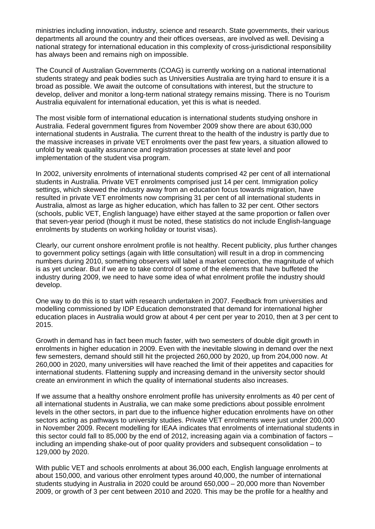ministries including innovation, industry, science and research. State governments, their various departments all around the country and their offices overseas, are involved as well. Devising a national strategy for international education in this complexity of cross-jurisdictional responsibility has always been and remains nigh on impossible.

The Council of Australian Governments (COAG) is currently working on a national international students strategy and peak bodies such as Universities Australia are trying hard to ensure it is a broad as possible. We await the outcome of consultations with interest, but the structure to develop, deliver and monitor a long-term national strategy remains missing. There is no Tourism Australia equivalent for international education, yet this is what is needed.

The most visible form of international education is international students studying onshore in Australia. Federal government figures from November 2009 show there are about 630,000 international students in Australia. The current threat to the health of the industry is partly due to the massive increases in private VET enrolments over the past few years, a situation allowed to unfold by weak quality assurance and registration processes at state level and poor implementation of the student visa program.

In 2002, university enrolments of international students comprised 42 per cent of all international students in Australia. Private VET enrolments comprised just 14 per cent. Immigration policy settings, which skewed the industry away from an education focus towards migration, have resulted in private VET enrolments now comprising 31 per cent of all international students in Australia, almost as large as higher education, which has fallen to 32 per cent. Other sectors (schools, public VET, English language) have either stayed at the same proportion or fallen over that seven-year period (though it must be noted, these statistics do not include English-language enrolments by students on working holiday or tourist visas).

Clearly, our current onshore enrolment profile is not healthy. Recent publicity, plus further changes to government policy settings (again with little consultation) will result in a drop in commencing numbers during 2010, something observers will label a market correction, the magnitude of which is as yet unclear. But if we are to take control of some of the elements that have buffeted the industry during 2009, we need to have some idea of what enrolment profile the industry should develop.

One way to do this is to start with research undertaken in 2007. Feedback from universities and modelling commissioned by IDP Education demonstrated that demand for international higher education places in Australia would grow at about 4 per cent per year to 2010, then at 3 per cent to 2015.

Growth in demand has in fact been much faster, with two semesters of double digit growth in enrolments in higher education in 2009. Even with the inevitable slowing in demand over the next few semesters, demand should still hit the projected 260,000 by 2020, up from 204,000 now. At 260,000 in 2020, many universities will have reached the limit of their appetites and capacities for international students. Flattening supply and increasing demand in the university sector should create an environment in which the quality of international students also increases.

If we assume that a healthy onshore enrolment profile has university enrolments as 40 per cent of all international students in Australia, we can make some predictions about possible enrolment levels in the other sectors, in part due to the influence higher education enrolments have on other sectors acting as pathways to university studies. Private VET enrolments were just under 200,000 in November 2009. Recent modelling for IEAA indicates that enrolments of international students in this sector could fall to 85,000 by the end of 2012, increasing again via a combination of factors – including an impending shake-out of poor quality providers and subsequent consolidation – to 129,000 by 2020.

With public VET and schools enrolments at about 36,000 each, English language enrolments at about 150,000, and various other enrolment types around 40,000, the number of international students studying in Australia in 2020 could be around 650,000 – 20,000 more than November 2009, or growth of 3 per cent between 2010 and 2020. This may be the profile for a healthy and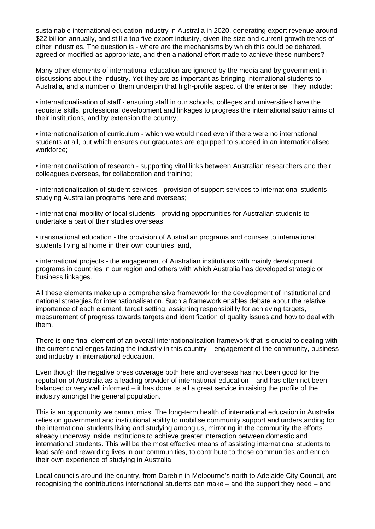sustainable international education industry in Australia in 2020, generating export revenue around \$22 billion annually, and still a top five export industry, given the size and current growth trends of other industries. The question is - where are the mechanisms by which this could be debated, agreed or modified as appropriate, and then a national effort made to achieve these numbers?

Many other elements of international education are ignored by the media and by government in discussions about the industry. Yet they are as important as bringing international students to Australia, and a number of them underpin that high-profile aspect of the enterprise. They include:

• internationalisation of staff - ensuring staff in our schools, colleges and universities have the requisite skills, professional development and linkages to progress the internationalisation aims of their institutions, and by extension the country;

• internationalisation of curriculum - which we would need even if there were no international students at all, but which ensures our graduates are equipped to succeed in an internationalised workforce;

• internationalisation of research - supporting vital links between Australian researchers and their colleagues overseas, for collaboration and training;

• internationalisation of student services - provision of support services to international students studying Australian programs here and overseas;

• international mobility of local students - providing opportunities for Australian students to undertake a part of their studies overseas;

• transnational education - the provision of Australian programs and courses to international students living at home in their own countries; and,

• international projects - the engagement of Australian institutions with mainly development programs in countries in our region and others with which Australia has developed strategic or business linkages.

All these elements make up a comprehensive framework for the development of institutional and national strategies for internationalisation. Such a framework enables debate about the relative importance of each element, target setting, assigning responsibility for achieving targets, measurement of progress towards targets and identification of quality issues and how to deal with them.

There is one final element of an overall internationalisation framework that is crucial to dealing with the current challenges facing the industry in this country – engagement of the community, business and industry in international education.

Even though the negative press coverage both here and overseas has not been good for the reputation of Australia as a leading provider of international education – and has often not been balanced or very well informed – it has done us all a great service in raising the profile of the industry amongst the general population.

This is an opportunity we cannot miss. The long-term health of international education in Australia relies on government and institutional ability to mobilise community support and understanding for the international students living and studying among us, mirroring in the community the efforts already underway inside institutions to achieve greater interaction between domestic and international students. This will be the most effective means of assisting international students to lead safe and rewarding lives in our communities, to contribute to those communities and enrich their own experience of studying in Australia.

Local councils around the country, from Darebin in Melbourne's north to Adelaide City Council, are recognising the contributions international students can make – and the support they need – and